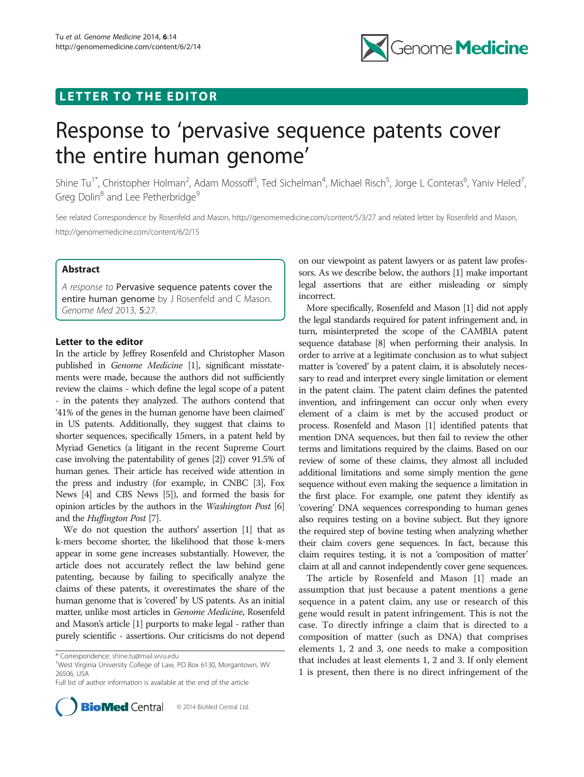# LETTER TO THE EDITOR



# Response to 'pervasive sequence patents cover the entire human genome'

Shine Tu<sup>1\*</sup>, Christopher Holman<sup>2</sup>, Adam Mossoff<sup>3</sup>, Ted Sichelman<sup>4</sup>, Michael Risch<sup>5</sup>, Jorge L Conteras<sup>6</sup>, Yaniv Heled<sup>7</sup> , Greg Dolin<sup>8</sup> and Lee Petherbridge<sup>9</sup>

See related Correspondence by Rosenfeld and Mason, http://genomemedicine.com/content/5/3/27 and related letter by Rosenfeld and Mason, http://genomemedicine.com/content/6/2/15

### Abstract

A response to Pervasive sequence patents cover the entire human genome by J Rosenfeld and C Mason. Genome Med 2013, 5:27.

#### Letter to the editor

In the article by Jeffrey Rosenfeld and Christopher Mason published in Genome Medicine [[1](#page-2-0)], significant misstatements were made, because the authors did not sufficiently review the claims - which define the legal scope of a patent - in the patents they analyzed. The authors contend that '41% of the genes in the human genome have been claimed' in US patents. Additionally, they suggest that claims to shorter sequences, specifically 15mers, in a patent held by Myriad Genetics (a litigant in the recent Supreme Court case involving the patentability of genes [\[2\]](#page-2-0)) cover 91.5% of human genes. Their article has received wide attention in the press and industry (for example, in CNBC [\[3\]](#page-2-0), Fox News [\[4\]](#page-2-0) and CBS News [\[5\]](#page-2-0)), and formed the basis for opinion articles by the authors in the Washington Post [[6](#page-2-0)] and the Huffington Post [\[7](#page-2-0)].

We do not question the authors' assertion [[1](#page-2-0)] that as k-mers become shorter, the likelihood that those k-mers appear in some gene increases substantially. However, the article does not accurately reflect the law behind gene patenting, because by failing to specifically analyze the claims of these patents, it overestimates the share of the human genome that is 'covered' by US patents. As an initial matter, unlike most articles in Genome Medicine, Rosenfeld and Mason's article [\[1\]](#page-2-0) purports to make legal - rather than purely scientific - assertions. Our criticisms do not depend

Full list of author information is available at the end of the article



on our viewpoint as patent lawyers or as patent law professors. As we describe below, the authors [[1\]](#page-2-0) make important legal assertions that are either misleading or simply incorrect.

More specifically, Rosenfeld and Mason [\[1](#page-2-0)] did not apply the legal standards required for patent infringement and, in turn, misinterpreted the scope of the CAMBIA patent sequence database [[8](#page-2-0)] when performing their analysis. In order to arrive at a legitimate conclusion as to what subject matter is 'covered' by a patent claim, it is absolutely necessary to read and interpret every single limitation or element in the patent claim. The patent claim defines the patented invention, and infringement can occur only when every element of a claim is met by the accused product or process. Rosenfeld and Mason [[1](#page-2-0)] identified patents that mention DNA sequences, but then fail to review the other terms and limitations required by the claims. Based on our review of some of these claims, they almost all included additional limitations and some simply mention the gene sequence without even making the sequence a limitation in the first place. For example, one patent they identify as 'covering' DNA sequences corresponding to human genes also requires testing on a bovine subject. But they ignore the required step of bovine testing when analyzing whether their claim covers gene sequences. In fact, because this claim requires testing, it is not a 'composition of matter' claim at all and cannot independently cover gene sequences.

The article by Rosenfeld and Mason [\[1](#page-2-0)] made an assumption that just because a patent mentions a gene sequence in a patent claim, any use or research of this gene would result in patent infringement. This is not the case. To directly infringe a claim that is directed to a composition of matter (such as DNA) that comprises elements 1, 2 and 3, one needs to make a composition that includes at least elements 1, 2 and 3. If only element 1 is present, then there is no direct infringement of the

<sup>\*</sup> Correspondence: [shine.tu@mail.wvu.edu](mailto:shine.tu@mail.wvu.edu) <sup>1</sup>

<sup>&</sup>lt;sup>1</sup>West Virginia University College of Law, PO Box 6130, Morgantown, WV 26506, USA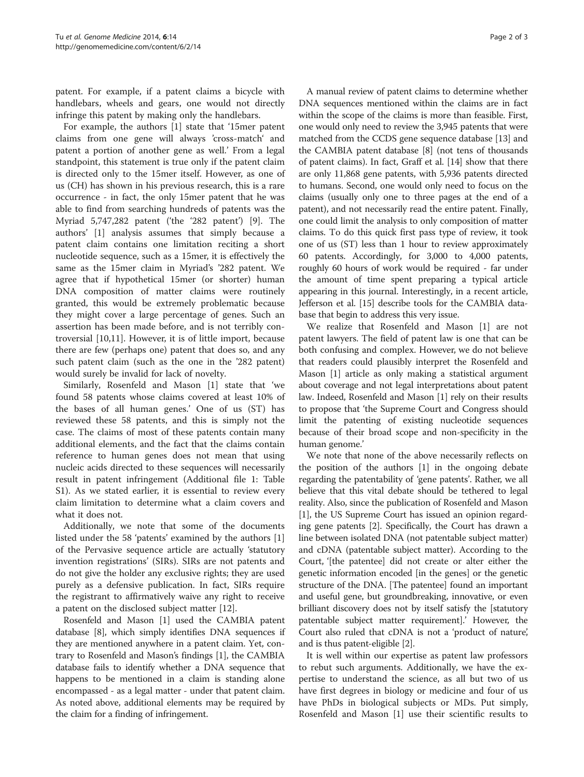patent. For example, if a patent claims a bicycle with handlebars, wheels and gears, one would not directly infringe this patent by making only the handlebars.

For example, the authors [[1](#page-2-0)] state that '15mer patent claims from one gene will always 'cross-match' and patent a portion of another gene as well.' From a legal standpoint, this statement is true only if the patent claim is directed only to the 15mer itself. However, as one of us (CH) has shown in his previous research, this is a rare occurrence - in fact, the only 15mer patent that he was able to find from searching hundreds of patents was the Myriad 5,747,282 patent ('the '282 patent') [[9\]](#page-2-0). The authors' [\[1\]](#page-2-0) analysis assumes that simply because a patent claim contains one limitation reciting a short nucleotide sequence, such as a 15mer, it is effectively the same as the 15mer claim in Myriad's '282 patent. We agree that if hypothetical 15mer (or shorter) human DNA composition of matter claims were routinely granted, this would be extremely problematic because they might cover a large percentage of genes. Such an assertion has been made before, and is not terribly controversial [\[10,11\]](#page-2-0). However, it is of little import, because there are few (perhaps one) patent that does so, and any such patent claim (such as the one in the '282 patent) would surely be invalid for lack of novelty.

Similarly, Rosenfeld and Mason [[1\]](#page-2-0) state that 'we found 58 patents whose claims covered at least 10% of the bases of all human genes.' One of us (ST) has reviewed these 58 patents, and this is simply not the case. The claims of most of these patents contain many additional elements, and the fact that the claims contain reference to human genes does not mean that using nucleic acids directed to these sequences will necessarily result in patent infringement (Additional file [1](#page-2-0): Table S1). As we stated earlier, it is essential to review every claim limitation to determine what a claim covers and what it does not.

Additionally, we note that some of the documents listed under the 58 'patents' examined by the authors [\[1](#page-2-0)] of the Pervasive sequence article are actually 'statutory invention registrations' (SIRs). SIRs are not patents and do not give the holder any exclusive rights; they are used purely as a defensive publication. In fact, SIRs require the registrant to affirmatively waive any right to receive a patent on the disclosed subject matter [[12\]](#page-2-0).

Rosenfeld and Mason [[1](#page-2-0)] used the CAMBIA patent database [[8\]](#page-2-0), which simply identifies DNA sequences if they are mentioned anywhere in a patent claim. Yet, contrary to Rosenfeld and Mason's findings [\[1\]](#page-2-0), the CAMBIA database fails to identify whether a DNA sequence that happens to be mentioned in a claim is standing alone encompassed - as a legal matter - under that patent claim. As noted above, additional elements may be required by the claim for a finding of infringement.

A manual review of patent claims to determine whether DNA sequences mentioned within the claims are in fact within the scope of the claims is more than feasible. First, one would only need to review the 3,945 patents that were matched from the CCDS gene sequence database [\[13\]](#page-2-0) and the CAMBIA patent database [[8\]](#page-2-0) (not tens of thousands of patent claims). In fact, Graff et al. [\[14\]](#page-2-0) show that there are only 11,868 gene patents, with 5,936 patents directed to humans. Second, one would only need to focus on the claims (usually only one to three pages at the end of a patent), and not necessarily read the entire patent. Finally, one could limit the analysis to only composition of matter claims. To do this quick first pass type of review, it took one of us (ST) less than 1 hour to review approximately 60 patents. Accordingly, for 3,000 to 4,000 patents, roughly 60 hours of work would be required - far under the amount of time spent preparing a typical article appearing in this journal. Interestingly, in a recent article, Jefferson et al. [\[15](#page-2-0)] describe tools for the CAMBIA database that begin to address this very issue.

We realize that Rosenfeld and Mason [\[1\]](#page-2-0) are not patent lawyers. The field of patent law is one that can be both confusing and complex. However, we do not believe that readers could plausibly interpret the Rosenfeld and Mason [[1\]](#page-2-0) article as only making a statistical argument about coverage and not legal interpretations about patent law. Indeed, Rosenfeld and Mason [[1\]](#page-2-0) rely on their results to propose that 'the Supreme Court and Congress should limit the patenting of existing nucleotide sequences because of their broad scope and non-specificity in the human genome.'

We note that none of the above necessarily reflects on the position of the authors [\[1\]](#page-2-0) in the ongoing debate regarding the patentability of 'gene patents'. Rather, we all believe that this vital debate should be tethered to legal reality. Also, since the publication of Rosenfeld and Mason [[1\]](#page-2-0), the US Supreme Court has issued an opinion regarding gene patents [[2](#page-2-0)]. Specifically, the Court has drawn a line between isolated DNA (not patentable subject matter) and cDNA (patentable subject matter). According to the Court, '[the patentee] did not create or alter either the genetic information encoded [in the genes] or the genetic structure of the DNA. [The patentee] found an important and useful gene, but groundbreaking, innovative, or even brilliant discovery does not by itself satisfy the [statutory patentable subject matter requirement].' However, the Court also ruled that cDNA is not a 'product of nature', and is thus patent-eligible [\[2](#page-2-0)].

It is well within our expertise as patent law professors to rebut such arguments. Additionally, we have the expertise to understand the science, as all but two of us have first degrees in biology or medicine and four of us have PhDs in biological subjects or MDs. Put simply, Rosenfeld and Mason [\[1](#page-2-0)] use their scientific results to